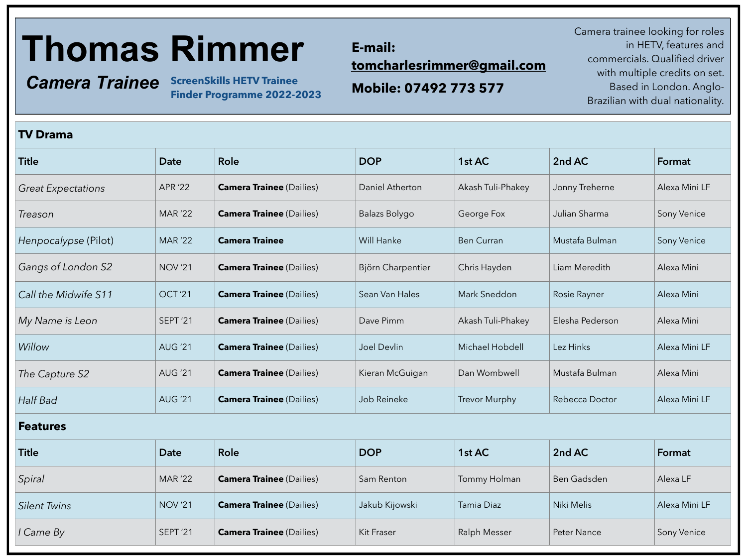# **Thomas Rimmer**

*Camera Trainee* **ScreenSkills HETV Trainee** 

**TV Drama**

**Finder Programme 2022-2023**

### **E-mail: [tomcharlesrimmer@gmail.com](mailto:tomcharlesrimmer@gmail.com)**

**Mobile: 07492 773 577**

 Camera trainee looking for roles in HETV, features and commercials. Qualified driver with multiple credits on set. Based in London. Anglo-Brazilian with dual nationality.

| <b>IV DIAIIIA</b>         |                     |                                 |                   |                      |                 |               |  |  |
|---------------------------|---------------------|---------------------------------|-------------------|----------------------|-----------------|---------------|--|--|
| <b>Title</b>              | <b>Date</b>         | <b>Role</b>                     | <b>DOP</b>        | 1st AC               | 2nd AC          | Format        |  |  |
| <b>Great Expectations</b> | <b>APR '22</b>      | <b>Camera Trainee</b> (Dailies) | Daniel Atherton   | Akash Tuli-Phakey    | Jonny Treherne  | Alexa Mini LF |  |  |
| Treason                   | <b>MAR '22</b>      | <b>Camera Trainee</b> (Dailies) | Balazs Bolygo     | George Fox           | Julian Sharma   | Sony Venice   |  |  |
| Henpocalypse (Pilot)      | <b>MAR '22</b>      | <b>Camera Trainee</b>           | Will Hanke        | <b>Ben Curran</b>    | Mustafa Bulman  | Sony Venice   |  |  |
| Gangs of London S2        | <b>NOV '21</b>      | <b>Camera Trainee</b> (Dailies) | Björn Charpentier | Chris Hayden         | Liam Meredith   | Alexa Mini    |  |  |
| Call the Midwife S11      | OCT <sub>'21</sub>  | <b>Camera Trainee</b> (Dailies) | Sean Van Hales    | Mark Sneddon         | Rosie Rayner    | Alexa Mini    |  |  |
| My Name is Leon           | SEPT <sup>'21</sup> | <b>Camera Trainee</b> (Dailies) | Dave Pimm         | Akash Tuli-Phakey    | Elesha Pederson | Alexa Mini    |  |  |
| Willow                    | <b>AUG '21</b>      | <b>Camera Trainee</b> (Dailies) | Joel Devlin       | Michael Hobdell      | Lez Hinks       | Alexa Mini LF |  |  |
| The Capture S2            | <b>AUG '21</b>      | <b>Camera Trainee</b> (Dailies) | Kieran McGuigan   | Dan Wombwell         | Mustafa Bulman  | Alexa Mini    |  |  |
| Half Bad                  | <b>AUG '21</b>      | <b>Camera Trainee</b> (Dailies) | Job Reineke       | <b>Trevor Murphy</b> | Rebecca Doctor  | Alexa Mini LF |  |  |
| <b>Features</b>           |                     |                                 |                   |                      |                 |               |  |  |
| <b>Title</b>              | <b>Date</b>         | <b>Role</b>                     | <b>DOP</b>        | 1st AC               | 2nd AC          | Format        |  |  |
| Spiral                    | <b>MAR '22</b>      | <b>Camera Trainee</b> (Dailies) | Sam Renton        | Tommy Holman         | Ben Gadsden     | Alexa LF      |  |  |
| <b>Silent Twins</b>       | <b>NOV '21</b>      | <b>Camera Trainee (Dailies)</b> | Jakub Kijowski    | Tamia Diaz           | Niki Melis      | Alexa Mini LF |  |  |
| l Came By                 | SEPT <sup>'21</sup> | <b>Camera Trainee (Dailies)</b> | Kit Fraser        | <b>Ralph Messer</b>  | Peter Nance     | Sony Venice   |  |  |